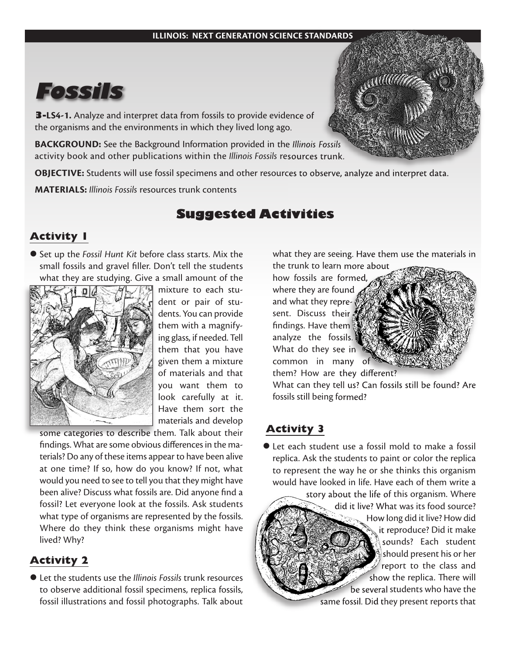

**3-LS4-1.** Analyze and interpret data from fossils to provide evidence of the organisms and the environments in which they lived long ago.

**BACKGROUND:** See the Background Information provided in the *Illinois Fossils* activity book and other publications within the *Illinois Fossils* resources trunk.

**OBJECTIVE:** Students will use fossil specimens and other resources to observe, analyze and interpret data.

**MATERIALS:** *Illinois Fossils* resources trunk contents

# **Suggested Activities**

#### **Activity 1**

l Set up the *Fossil Hunt Kit* before class starts. Mix the small fossils and gravel filler. Don't tell the students what they are studying. Give a small amount of the



mixture to each student or pair of students. You can provide them with a magnifying glass, if needed. Tell them that you have given them a mixture of materials and that you want them to look carefully at it. Have them sort the materials and develop

some categories to describe them. Talk about their findings. What are some obvious differences in the materials? Do any of these items appear to have been alive at one time? If so, how do you know? If not, what would you need to see to tell you that they might have been alive? Discuss what fossils are. Did anyone find a fossil? Let everyone look at the fossils. Ask students what type of organisms are represented by the fossils. Where do they think these organisms might have lived? Why?

## **Activity 2**

l Let the students use the *Illinois Fossils* trunk resources to observe additional fossil specimens, replica fossils, fossil illustrations and fossil photographs. Talk about

what they are seeing. Have them use the materials in the trunk to learn more about

how fossils are formed, where they are found and what they represent. Discuss their findings. Have them analyze the fossils. What do they see in common in many of them? How are they different?



What can they tell us? Can fossils still be found? Are fossils still being formed?

## **Activity 3**

● Let each student use a fossil mold to make a fossil replica. Ask the students to paint or color the replica to represent the way he or she thinks this organism would have looked in life. Have each of them write a

story about the life of this organism. Where did it live? What was its food source? How long did it live? How did it reproduce? Did it make sounds? Each student should present his or her report to the class and show the replica. There will be several students who have the same fossil. Did they present reports that